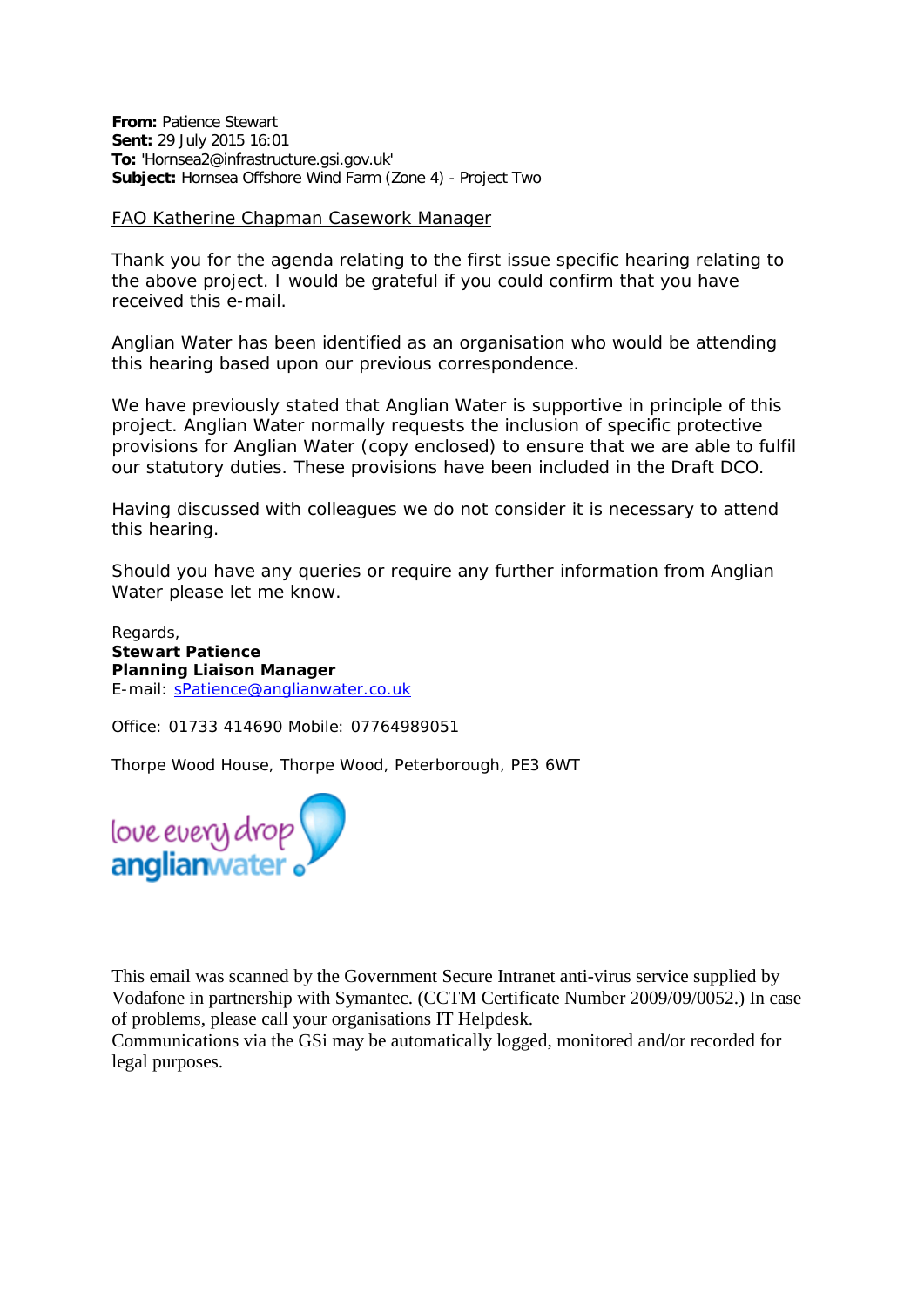**From:** Patience Stewart **Sent:** 29 July 2015 16:01 **To:** 'Hornsea2@infrastructure.gsi.gov.uk' **Subject:** Hornsea Offshore Wind Farm (Zone 4) - Project Two

## FAO Katherine Chapman Casework Manager

Thank you for the agenda relating to the first issue specific hearing relating to the above project. I would be grateful if you could confirm that you have received this e-mail.

Anglian Water has been identified as an organisation who would be attending this hearing based upon our previous correspondence.

We have previously stated that Anglian Water is supportive in principle of this project. Anglian Water normally requests the inclusion of specific protective provisions for Anglian Water (copy enclosed) to ensure that we are able to fulfil our statutory duties. These provisions have been included in the Draft DCO.

Having discussed with colleagues we do not consider it is necessary to attend this hearing.

Should you have any queries or require any further information from Anglian Water please let me know.

Regards, **Stewart Patience Planning Liaison Manager**  E-mail: [sPatience@anglianwater.co.uk](mailto:sPatience@anglianwater.co.uk)

Office: 01733 414690 Mobile: 07764989051

Thorpe Wood House, Thorpe Wood, Peterborough, PE3 6WT



This email was scanned by the Government Secure Intranet anti-virus service supplied by Vodafone in partnership with Symantec. (CCTM Certificate Number 2009/09/0052.) In case of problems, please call your organisations IT Helpdesk.

Communications via the GSi may be automatically logged, monitored and/or recorded for legal purposes.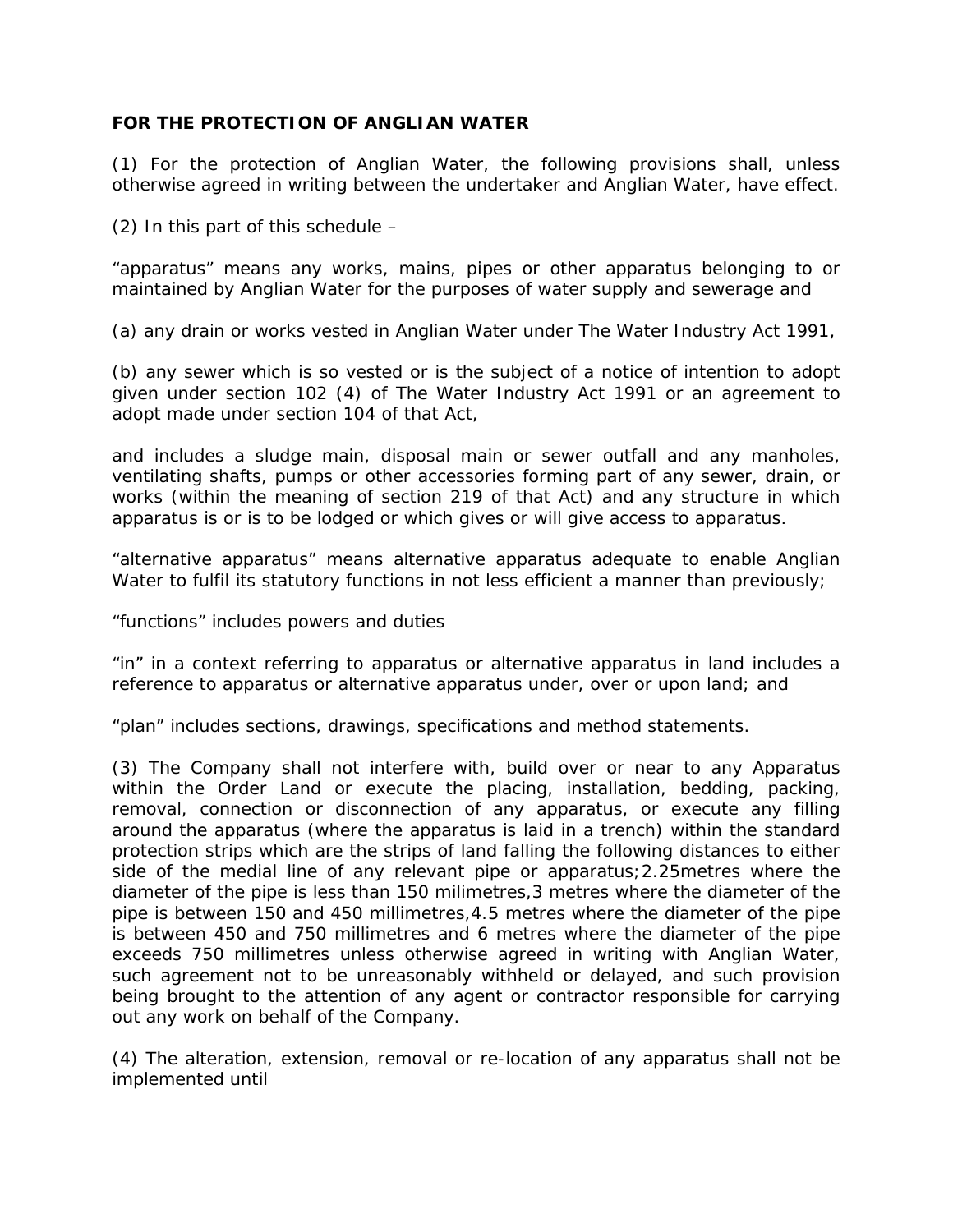## **FOR THE PROTECTION OF ANGLIAN WATER**

(1) For the protection of Anglian Water, the following provisions shall, unless otherwise agreed in writing between the undertaker and Anglian Water, have effect.

(2) In this part of this schedule –

"apparatus" means any works, mains, pipes or other apparatus belonging to or maintained by Anglian Water for the purposes of water supply and sewerage and

(a) any drain or works vested in Anglian Water under The Water Industry Act 1991,

(b) any sewer which is so vested or is the subject of a notice of intention to adopt given under section 102 (4) of The Water Industry Act 1991 or an agreement to adopt made under section 104 of that Act,

and includes a sludge main, disposal main or sewer outfall and any manholes, ventilating shafts, pumps or other accessories forming part of any sewer, drain, or works (within the meaning of section 219 of that Act) and any structure in which apparatus is or is to be lodged or which gives or will give access to apparatus.

"alternative apparatus" means alternative apparatus adequate to enable Anglian Water to fulfil its statutory functions in not less efficient a manner than previously;

"functions" includes powers and duties

"in" in a context referring to apparatus or alternative apparatus in land includes a reference to apparatus or alternative apparatus under, over or upon land; and

"plan" includes sections, drawings, specifications and method statements.

(3) The Company shall not interfere with, build over or near to any Apparatus within the Order Land or execute the placing, installation, bedding, packing, removal, connection or disconnection of any apparatus, or execute any filling around the apparatus (where the apparatus is laid in a trench) within the standard protection strips which are the strips of land falling the following distances to either side of the medial line of any relevant pipe or apparatus;2.25metres where the diameter of the pipe is less than 150 milimetres,3 metres where the diameter of the pipe is between 150 and 450 millimetres,4.5 metres where the diameter of the pipe is between 450 and 750 millimetres and 6 metres where the diameter of the pipe exceeds 750 millimetres unless otherwise agreed in writing with Anglian Water, such agreement not to be unreasonably withheld or delayed, and such provision being brought to the attention of any agent or contractor responsible for carrying out any work on behalf of the Company.

(4) The alteration, extension, removal or re-location of any apparatus shall not be implemented until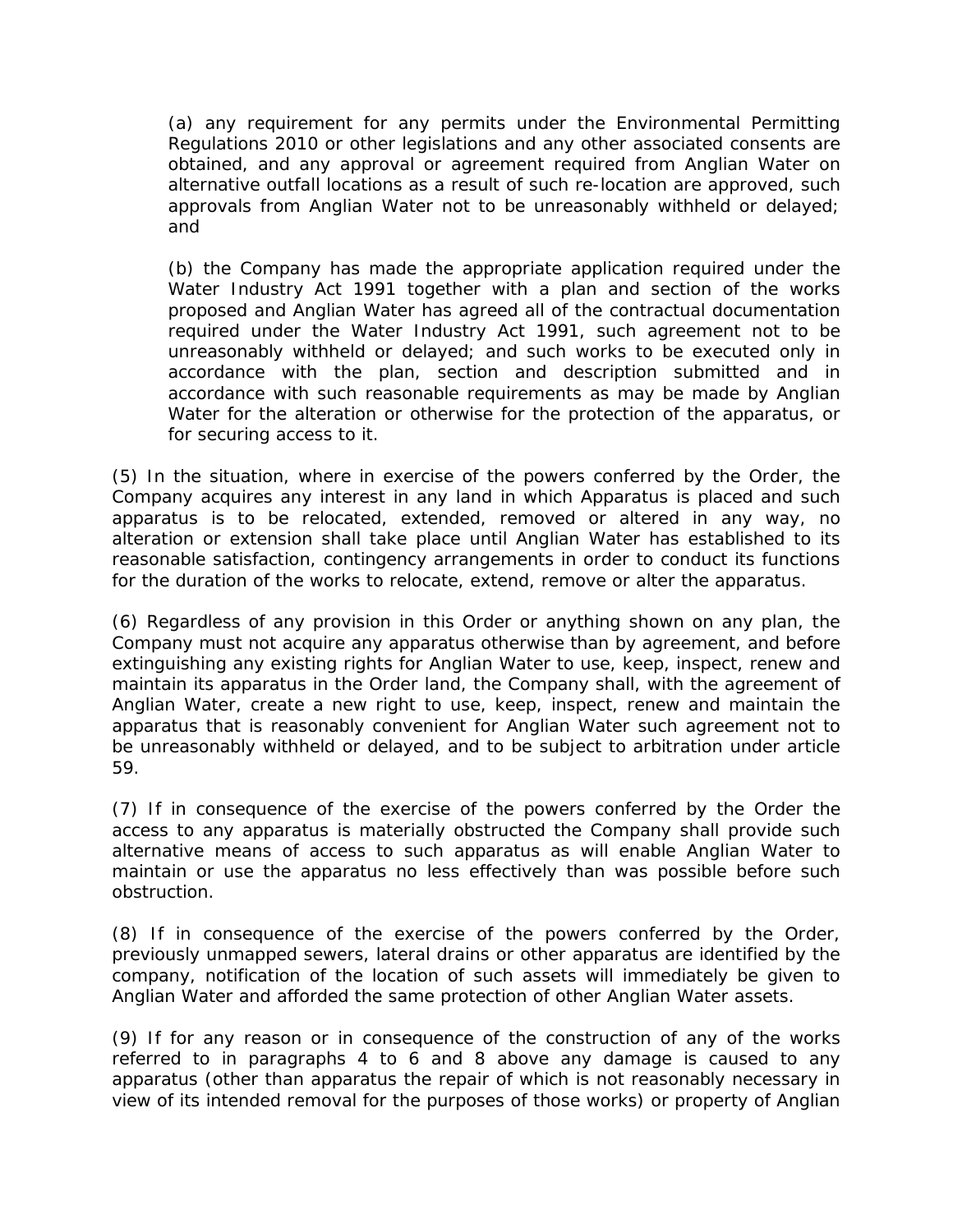(a) any requirement for any permits under the Environmental Permitting Regulations 2010 or other legislations and any other associated consents are obtained, and any approval or agreement required from Anglian Water on alternative outfall locations as a result of such re-location are approved, such approvals from Anglian Water not to be unreasonably withheld or delayed; and

(b) the Company has made the appropriate application required under the Water Industry Act 1991 together with a plan and section of the works proposed and Anglian Water has agreed all of the contractual documentation required under the Water Industry Act 1991, such agreement not to be unreasonably withheld or delayed; and such works to be executed only in accordance with the plan, section and description submitted and in accordance with such reasonable requirements as may be made by Anglian Water for the alteration or otherwise for the protection of the apparatus, or for securing access to it.

(5) In the situation, where in exercise of the powers conferred by the Order, the Company acquires any interest in any land in which Apparatus is placed and such apparatus is to be relocated, extended, removed or altered in any way, no alteration or extension shall take place until Anglian Water has established to its reasonable satisfaction, contingency arrangements in order to conduct its functions for the duration of the works to relocate, extend, remove or alter the apparatus.

(6) Regardless of any provision in this Order or anything shown on any plan, the Company must not acquire any apparatus otherwise than by agreement, and before extinguishing any existing rights for Anglian Water to use, keep, inspect, renew and maintain its apparatus in the Order land, the Company shall, with the agreement of Anglian Water, create a new right to use, keep, inspect, renew and maintain the apparatus that is reasonably convenient for Anglian Water such agreement not to be unreasonably withheld or delayed, and to be subject to arbitration under article 59.

(7) If in consequence of the exercise of the powers conferred by the Order the access to any apparatus is materially obstructed the Company shall provide such alternative means of access to such apparatus as will enable Anglian Water to maintain or use the apparatus no less effectively than was possible before such obstruction.

(8) If in consequence of the exercise of the powers conferred by the Order, previously unmapped sewers, lateral drains or other apparatus are identified by the company, notification of the location of such assets will immediately be given to Anglian Water and afforded the same protection of other Anglian Water assets.

(9) If for any reason or in consequence of the construction of any of the works referred to in paragraphs 4 to 6 and 8 above any damage is caused to any apparatus (other than apparatus the repair of which is not reasonably necessary in view of its intended removal for the purposes of those works) or property of Anglian